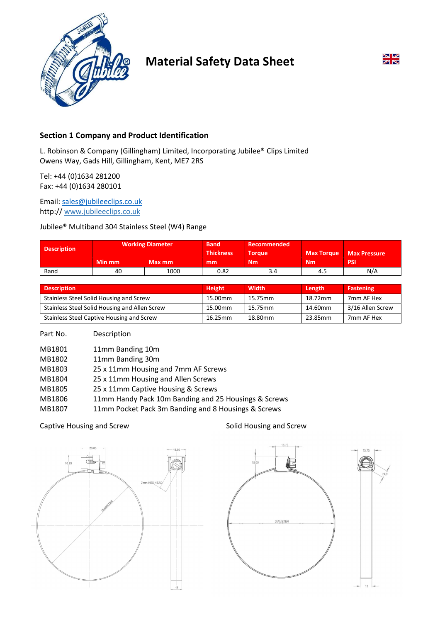

# Material Safety Data Sheet



# Section 1 Company and Product Identification

L. Robinson & Company (Gillingham) Limited, Incorporating Jubilee® Clips Limited Owens Way, Gads Hill, Gillingham, Kent, ME7 2RS

Tel: +44 (0)1634 281200 Fax: +44 (0)1634 280101

Email: sales@jubileeclips.co.uk http:// www.jubileeclips.co.uk

Jubilee® Multiband 304 Stainless Steel (W4) Range

| <b>Description</b> | <b>Working Diameter</b> |        | <b>Band</b><br><b>Thickness</b> | Recommended<br><b>Torque</b> | <b>Max Torque</b> | <b>Max Pressure</b> |
|--------------------|-------------------------|--------|---------------------------------|------------------------------|-------------------|---------------------|
|                    | Min mm                  | Max mm | mm                              | <b>Nm</b>                    | <b>Nm</b>         | <b>PSI</b>          |
| Band               | 40                      | 1000   | 0.82                            | 3.4                          | 4.5               | N/A                 |

| <b>Description</b>                            | <b>Height</b> | <b>Width</b> | Length  | Fastening          |
|-----------------------------------------------|---------------|--------------|---------|--------------------|
| Stainless Steel Solid Housing and Screw       | 15.00mm       | 15.75mm      | 18.72mm | 7mm AF Hex         |
| Stainless Steel Solid Housing and Allen Screw | 15.00mm       | 15.75mm      | 14.60mm | . 3/16 Allen Screw |
| Stainless Steel Captive Housing and Screw     | 16.25mm       | 18.80mm      | 23.85mm | 7mm AF Hex         |

### Part No. Description

| MB1801 | 11mm Banding 10m                                     |
|--------|------------------------------------------------------|
| MB1802 | 11mm Banding 30m                                     |
| MB1803 | 25 x 11mm Housing and 7mm AF Screws                  |
| MB1804 | 25 x 11mm Housing and Allen Screws                   |
| MB1805 | 25 x 11mm Captive Housing & Screws                   |
| MB1806 | 11mm Handy Pack 10m Banding and 25 Housings & Screws |
| MB1807 | 11mm Pocket Pack 3m Banding and 8 Housings & Screws  |

### Captive Housing and Screw Solid Housing and Screw



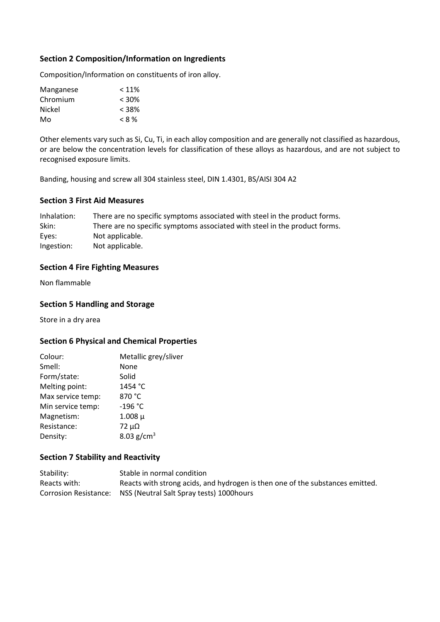# Section 2 Composition/Information on Ingredients

Composition/Information on constituents of iron alloy.

| < 11%    |
|----------|
| $< 30\%$ |
| $< 38\%$ |
| $< 8\%$  |
|          |

Other elements vary such as Si, Cu, Ti, in each alloy composition and are generally not classified as hazardous, or are below the concentration levels for classification of these alloys as hazardous, and are not subject to recognised exposure limits.

Banding, housing and screw all 304 stainless steel, DIN 1.4301, BS/AISI 304 A2

# Section 3 First Aid Measures

Inhalation: There are no specific symptoms associated with steel in the product forms. Skin: There are no specific symptoms associated with steel in the product forms. Eyes: Not applicable. Ingestion: Not applicable.

# Section 4 Fire Fighting Measures

Non flammable

# Section 5 Handling and Storage

Store in a dry area

# Section 6 Physical and Chemical Properties

| Metallic grey/sliver |
|----------------------|
| None                 |
| Solid                |
| 1454 °C              |
| 870 °C               |
| -196 °C              |
| $1.008 \mu$          |
| $72 \mu\Omega$       |
| 8.03 $g/cm^{3}$      |
|                      |

# Section 7 Stability and Reactivity

| Stability:   | Stable in normal condition                                                    |
|--------------|-------------------------------------------------------------------------------|
| Reacts with: | Reacts with strong acids, and hydrogen is then one of the substances emitted. |
|              | Corrosion Resistance: NSS (Neutral Salt Spray tests) 1000 hours               |